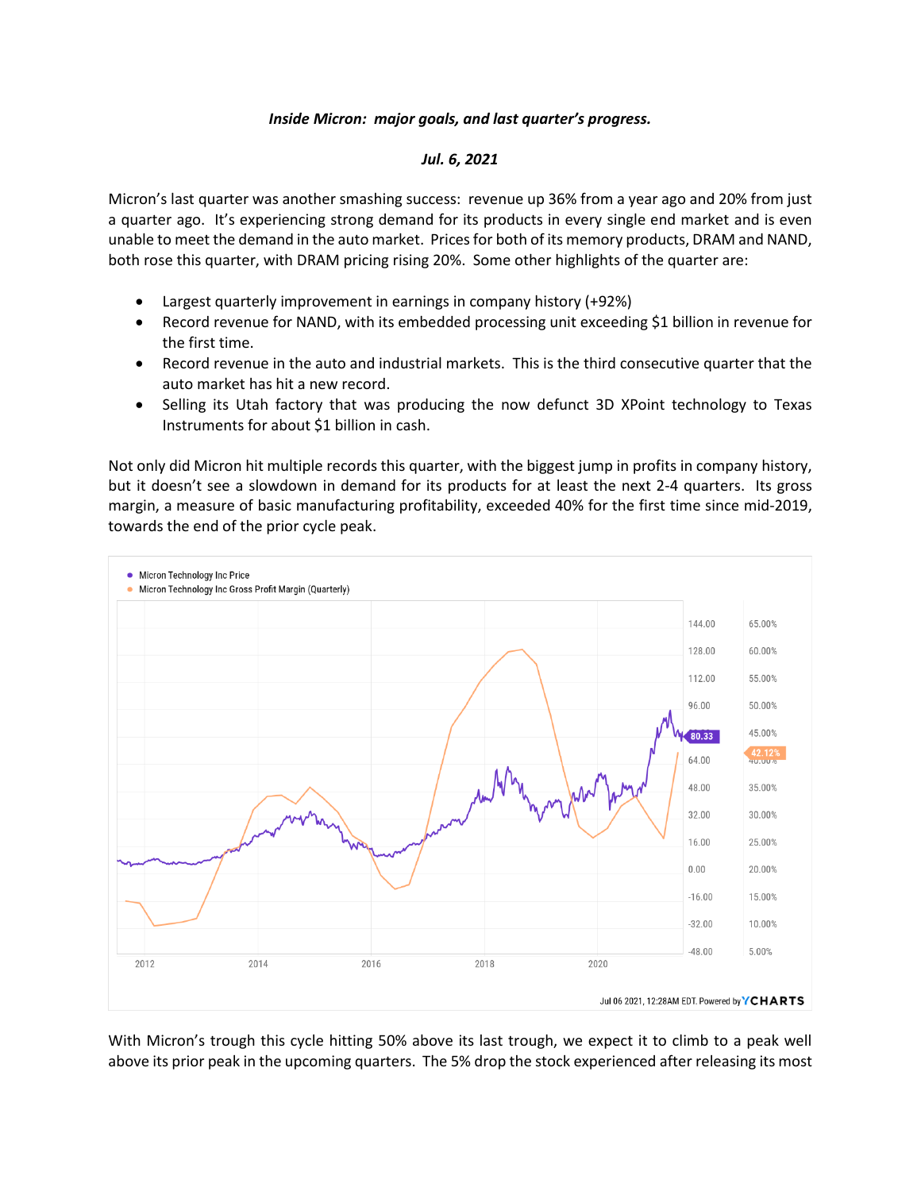## *Inside Micron: major goals, and last quarter's progress.*

## *Jul. 6, 2021*

Micron's last quarter was another smashing success: revenue up 36% from a year ago and 20% from just a quarter ago. It's experiencing strong demand for its products in every single end market and is even unable to meet the demand in the auto market. Prices for both of its memory products, DRAM and NAND, both rose this quarter, with DRAM pricing rising 20%. Some other highlights of the quarter are:

- Largest quarterly improvement in earnings in company history (+92%)
- Record revenue for NAND, with its embedded processing unit exceeding \$1 billion in revenue for the first time.
- Record revenue in the auto and industrial markets. This is the third consecutive quarter that the auto market has hit a new record.
- Selling its Utah factory that was producing the now defunct 3D XPoint technology to Texas Instruments for about \$1 billion in cash.

Not only did Micron hit multiple records this quarter, with the biggest jump in profits in company history, but it doesn't see a slowdown in demand for its products for at least the next 2-4 quarters. Its gross margin, a measure of basic manufacturing profitability, exceeded 40% for the first time since mid-2019, towards the end of the prior cycle peak.



With Micron's trough this cycle hitting 50% above its last trough, we expect it to climb to a peak well above its prior peak in the upcoming quarters. The 5% drop the stock experienced after releasing its most